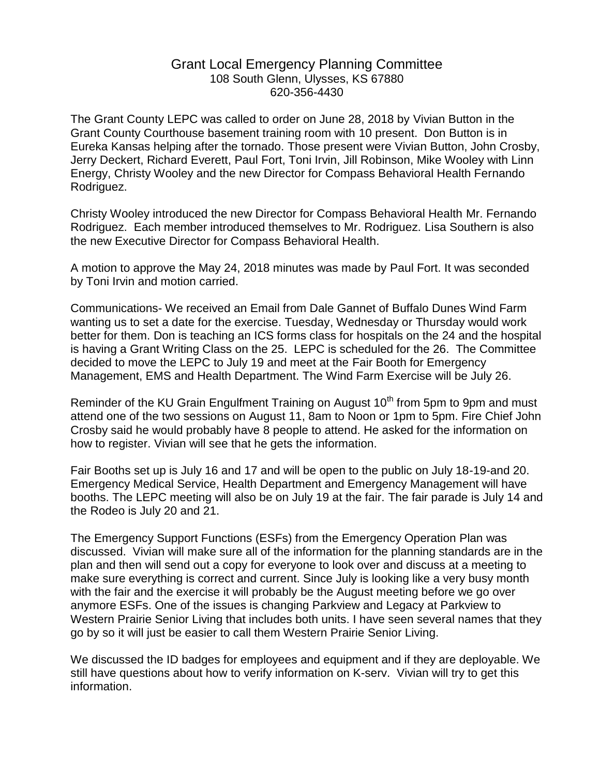## Grant Local Emergency Planning Committee 108 South Glenn, Ulysses, KS 67880 620-356-4430

The Grant County LEPC was called to order on June 28, 2018 by Vivian Button in the Grant County Courthouse basement training room with 10 present. Don Button is in Eureka Kansas helping after the tornado. Those present were Vivian Button, John Crosby, Jerry Deckert, Richard Everett, Paul Fort, Toni Irvin, Jill Robinson, Mike Wooley with Linn Energy, Christy Wooley and the new Director for Compass Behavioral Health Fernando Rodriguez.

Christy Wooley introduced the new Director for Compass Behavioral Health Mr. Fernando Rodriguez. Each member introduced themselves to Mr. Rodriguez. Lisa Southern is also the new Executive Director for Compass Behavioral Health.

A motion to approve the May 24, 2018 minutes was made by Paul Fort. It was seconded by Toni Irvin and motion carried.

Communications- We received an Email from Dale Gannet of Buffalo Dunes Wind Farm wanting us to set a date for the exercise. Tuesday, Wednesday or Thursday would work better for them. Don is teaching an ICS forms class for hospitals on the 24 and the hospital is having a Grant Writing Class on the 25. LEPC is scheduled for the 26. The Committee decided to move the LEPC to July 19 and meet at the Fair Booth for Emergency Management, EMS and Health Department. The Wind Farm Exercise will be July 26.

Reminder of the KU Grain Engulfment Training on August 10<sup>th</sup> from 5pm to 9pm and must attend one of the two sessions on August 11, 8am to Noon or 1pm to 5pm. Fire Chief John Crosby said he would probably have 8 people to attend. He asked for the information on how to register. Vivian will see that he gets the information.

Fair Booths set up is July 16 and 17 and will be open to the public on July 18-19-and 20. Emergency Medical Service, Health Department and Emergency Management will have booths. The LEPC meeting will also be on July 19 at the fair. The fair parade is July 14 and the Rodeo is July 20 and 21.

The Emergency Support Functions (ESFs) from the Emergency Operation Plan was discussed. Vivian will make sure all of the information for the planning standards are in the plan and then will send out a copy for everyone to look over and discuss at a meeting to make sure everything is correct and current. Since July is looking like a very busy month with the fair and the exercise it will probably be the August meeting before we go over anymore ESFs. One of the issues is changing Parkview and Legacy at Parkview to Western Prairie Senior Living that includes both units. I have seen several names that they go by so it will just be easier to call them Western Prairie Senior Living.

We discussed the ID badges for employees and equipment and if they are deployable. We still have questions about how to verify information on K-serv. Vivian will try to get this information.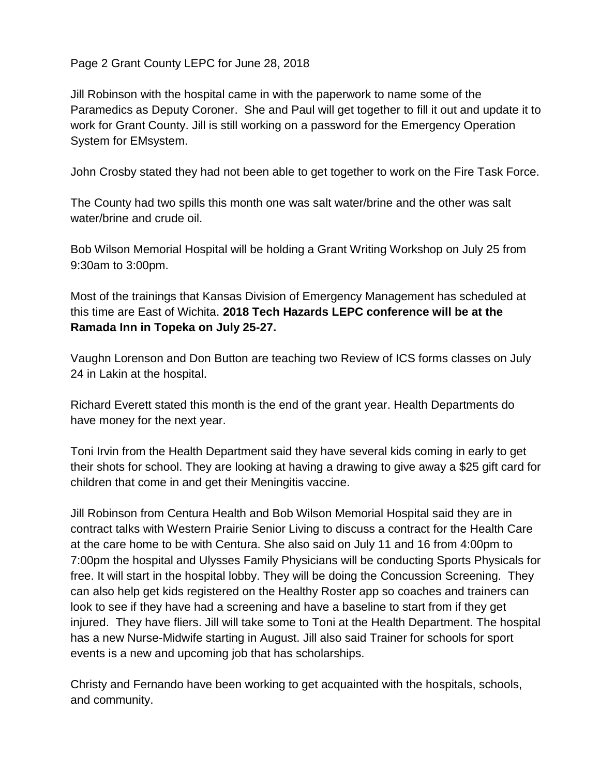Page 2 Grant County LEPC for June 28, 2018

Jill Robinson with the hospital came in with the paperwork to name some of the Paramedics as Deputy Coroner. She and Paul will get together to fill it out and update it to work for Grant County. Jill is still working on a password for the Emergency Operation System for EMsystem.

John Crosby stated they had not been able to get together to work on the Fire Task Force.

The County had two spills this month one was salt water/brine and the other was salt water/brine and crude oil.

Bob Wilson Memorial Hospital will be holding a Grant Writing Workshop on July 25 from 9:30am to 3:00pm.

Most of the trainings that Kansas Division of Emergency Management has scheduled at this time are East of Wichita. **2018 Tech Hazards LEPC conference will be at the Ramada Inn in Topeka on July 25-27.** 

Vaughn Lorenson and Don Button are teaching two Review of ICS forms classes on July 24 in Lakin at the hospital.

Richard Everett stated this month is the end of the grant year. Health Departments do have money for the next year.

Toni Irvin from the Health Department said they have several kids coming in early to get their shots for school. They are looking at having a drawing to give away a \$25 gift card for children that come in and get their Meningitis vaccine.

Jill Robinson from Centura Health and Bob Wilson Memorial Hospital said they are in contract talks with Western Prairie Senior Living to discuss a contract for the Health Care at the care home to be with Centura. She also said on July 11 and 16 from 4:00pm to 7:00pm the hospital and Ulysses Family Physicians will be conducting Sports Physicals for free. It will start in the hospital lobby. They will be doing the Concussion Screening. They can also help get kids registered on the Healthy Roster app so coaches and trainers can look to see if they have had a screening and have a baseline to start from if they get injured. They have fliers. Jill will take some to Toni at the Health Department. The hospital has a new Nurse-Midwife starting in August. Jill also said Trainer for schools for sport events is a new and upcoming job that has scholarships.

Christy and Fernando have been working to get acquainted with the hospitals, schools, and community.